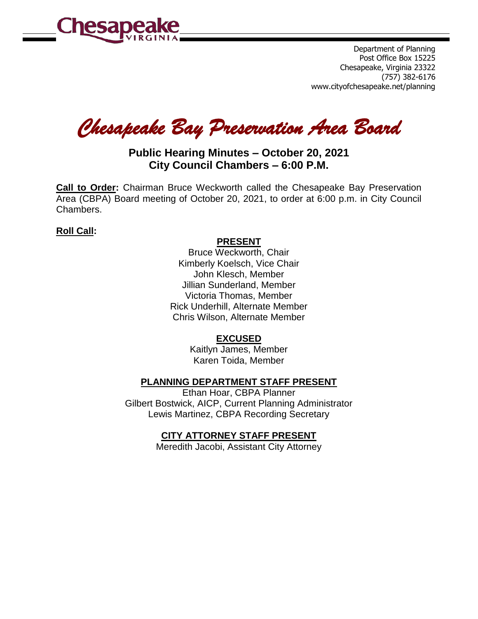

Department of Planning Post Office Box 15225 Chesapeake, Virginia 23322 (757) 382-6176 www.cityofchesapeake.net/planning

*Chesapeake Bay Preservation Area Board* 

# **Public Hearing Minutes – October 20, 2021 City Council Chambers – 6:00 P.M.**

**Call to Order:** Chairman Bruce Weckworth called the Chesapeake Bay Preservation Area (CBPA) Board meeting of October 20, 2021, to order at 6:00 p.m. in City Council Chambers.

# **Roll Call:**

## **PRESENT**

Bruce Weckworth, Chair Kimberly Koelsch, Vice Chair John Klesch, Member Jillian Sunderland, Member Victoria Thomas, Member Rick Underhill, Alternate Member Chris Wilson, Alternate Member

# **EXCUSED**

Kaitlyn James, Member Karen Toida, Member

# **PLANNING DEPARTMENT STAFF PRESENT**

Ethan Hoar, CBPA Planner Gilbert Bostwick, AICP, Current Planning Administrator Lewis Martinez, CBPA Recording Secretary

# **CITY ATTORNEY STAFF PRESENT**

Meredith Jacobi, Assistant City Attorney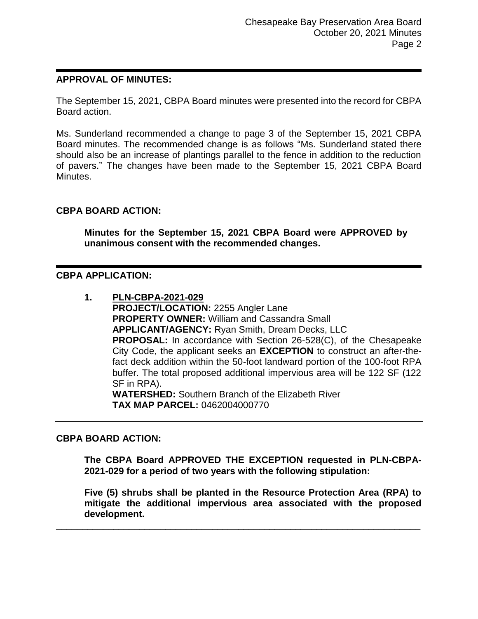## **APPROVAL OF MINUTES:**

The September 15, 2021, CBPA Board minutes were presented into the record for CBPA Board action.

Ms. Sunderland recommended a change to page 3 of the September 15, 2021 CBPA Board minutes. The recommended change is as follows "Ms. Sunderland stated there should also be an increase of plantings parallel to the fence in addition to the reduction of pavers." The changes have been made to the September 15, 2021 CBPA Board Minutes.

## **CBPA BOARD ACTION:**

**Minutes for the September 15, 2021 CBPA Board were APPROVED by unanimous consent with the recommended changes.**

#### **CBPA APPLICATION:**

**1. PLN-CBPA-2021-029 PROJECT/LOCATION:** 2255 Angler Lane **PROPERTY OWNER:** William and Cassandra Small **APPLICANT/AGENCY:** Ryan Smith, Dream Decks, LLC **PROPOSAL:** In accordance with Section 26-528(C), of the Chesapeake City Code, the applicant seeks an **EXCEPTION** to construct an after-thefact deck addition within the 50-foot landward portion of the 100-foot RPA buffer. The total proposed additional impervious area will be 122 SF (122 SF in RPA). **WATERSHED:** Southern Branch of the Elizabeth River **TAX MAP PARCEL:** 0462004000770

#### **CBPA BOARD ACTION:**

**The CBPA Board APPROVED THE EXCEPTION requested in PLN-CBPA-2021-029 for a period of two years with the following stipulation:**

**Five (5) shrubs shall be planted in the Resource Protection Area (RPA) to mitigate the additional impervious area associated with the proposed development.**

\_\_\_\_\_\_\_\_\_\_\_\_\_\_\_\_\_\_\_\_\_\_\_\_\_\_\_\_\_\_\_\_\_\_\_\_\_\_\_\_\_\_\_\_\_\_\_\_\_\_\_\_\_\_\_\_\_\_\_\_\_\_\_\_\_\_\_\_\_\_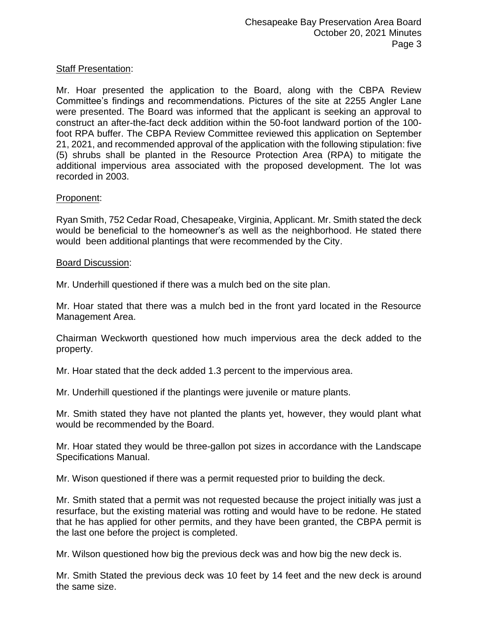## Staff Presentation:

Mr. Hoar presented the application to the Board, along with the CBPA Review Committee's findings and recommendations. Pictures of the site at 2255 Angler Lane were presented. The Board was informed that the applicant is seeking an approval to construct an after-the-fact deck addition within the 50-foot landward portion of the 100 foot RPA buffer. The CBPA Review Committee reviewed this application on September 21, 2021, and recommended approval of the application with the following stipulation: five (5) shrubs shall be planted in the Resource Protection Area (RPA) to mitigate the additional impervious area associated with the proposed development. The lot was recorded in 2003.

## Proponent:

Ryan Smith, 752 Cedar Road, Chesapeake, Virginia, Applicant. Mr. Smith stated the deck would be beneficial to the homeowner's as well as the neighborhood. He stated there would been additional plantings that were recommended by the City.

#### Board Discussion:

Mr. Underhill questioned if there was a mulch bed on the site plan.

Mr. Hoar stated that there was a mulch bed in the front yard located in the Resource Management Area.

Chairman Weckworth questioned how much impervious area the deck added to the property.

Mr. Hoar stated that the deck added 1.3 percent to the impervious area.

Mr. Underhill questioned if the plantings were juvenile or mature plants.

Mr. Smith stated they have not planted the plants yet, however, they would plant what would be recommended by the Board.

Mr. Hoar stated they would be three-gallon pot sizes in accordance with the Landscape Specifications Manual.

Mr. Wison questioned if there was a permit requested prior to building the deck.

Mr. Smith stated that a permit was not requested because the project initially was just a resurface, but the existing material was rotting and would have to be redone. He stated that he has applied for other permits, and they have been granted, the CBPA permit is the last one before the project is completed.

Mr. Wilson questioned how big the previous deck was and how big the new deck is.

Mr. Smith Stated the previous deck was 10 feet by 14 feet and the new deck is around the same size.